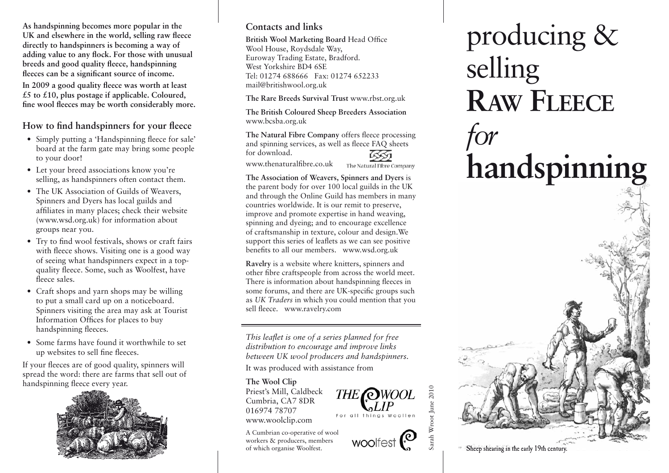**As handspinning becomes more popular in the UK and elsewhere in the world, selling raw fleece directly to handspinners is becoming a way of adding value to any flock. For those with unusual breeds and good quality fleece, handspinning fleeces can be a significant source of income.** 

**In 2009 a good quality fleece was worth at least £5 to £10, plus postage if applicable. Coloured, fine wool fleeces may be worth considerably more.**

#### **How to find handspinners for your fleece**

- Simply putting a 'Handspinning fleece for sale' board at the farm gate may bring some people to your door!
- Let your breed associations know you're selling, as handspinners often contact them.
- The UK Association of Guilds of Weavers, Spinners and Dyers has local guilds and affiliates in many places; check their website (www.wsd.org.uk) for information about groups near you.
- Try to find wool festivals, shows or craft fairs with fleece shows. Visiting one is a good way of seeing what handspinners expect in a topquality fleece. Some, such as Woolfest, have fleece sales.
- Craft shops and yarn shops may be willing to put a small card up on a noticeboard. Spinners visiting the area may ask at Tourist Information Offices for places to buy handspinning fleeces.
- Some farms have found it worthwhile to set up websites to sell fine fleeces.

If your fleeces are of good quality, spinners will spread the word: there are farms that sell out of handspinning fleece every year.



## **Contacts and links**

**British Wool Marketing Board** Head Office Wool House, Roydsdale Way, Euroway Trading Estate, Bradford. West Yorkshire BD4 6SE Tel: 01274 688666 Fax: 01274 652233 mail@britishwool.org.uk

**The Rare Breeds Survival Trust** www.rbst.org.uk

**The British Coloured Sheep Breeders Association** www.bcsba.org.uk

**The Natural Fibre Company** offers fleece processing and spinning services, as well as fleece FAQ sheets for download.

www.thenaturalfibre.co.uk

The Natural Fibre Company

THE **OWOOL** 

For all things Woollen

woolfest $\mathcal{O}$ 

Sarah Wroot June 2010

arah Wroot June 2010

**The Association of Weavers, Spinners and Dyers** is the parent body for over 100 local guilds in the UK and through the Online Guild has members in many countries worldwide. It is our remit to preserve, improve and promote expertise in hand weaving, spinning and dyeing; and to encourage excellence of craftsmanship in texture, colour and design.We support this series of leaflets as we can see positive benefits to all our members. www.wsd.org.uk

**Ravelry** is a website where knitters, spinners and other fibre craftspeople from across the world meet. There is information about handspinning fleeces in some forums, and there are UK-specific groups such as *UK Traders* in which you could mention that you sell fleece. www.ravelry.com

*This leaflet is one of a series planned for free distribution to encourage and improve links between UK wool producers and handspinners.* 

It was produced with assistance from

#### **The Wool Clip**

Priest's Mill, Caldbeck Cumbria, CA7 8DR 016974 78707 www.woolclip.com

A Cumbrian co-operative of wool workers & producers, members of which organise Woolfest.